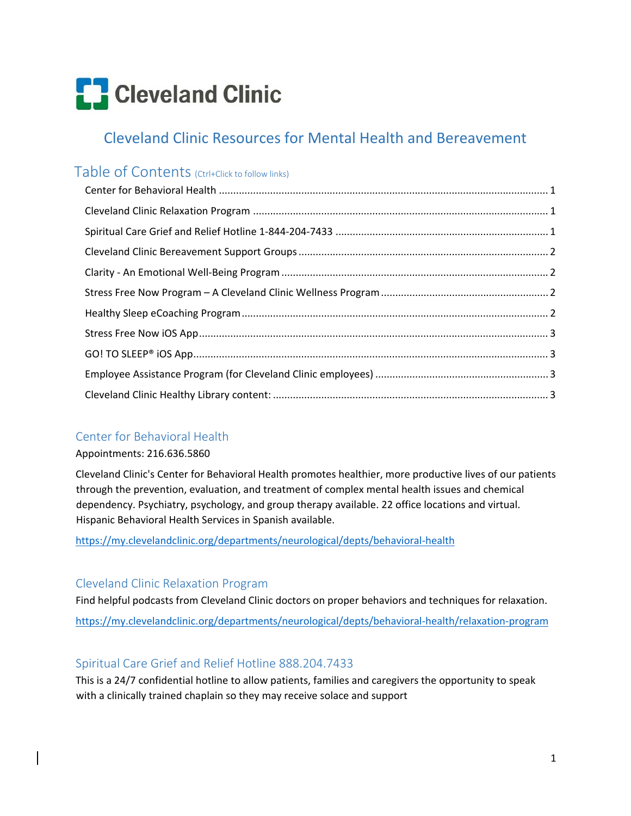# **C** Cleveland Clinic

# Cleveland Clinic Resources for Mental Health and Bereavement

# Table of Contents (Ctrl+Click to follow links)

# Center for Behavioral Health

## Appointments: 216.636.5860

Cleveland Clinic's Center for Behavioral Health promotes healthier, more productive lives of our patients through the prevention, evaluation, and treatment of complex mental health issues and chemical dependency. Psychiatry, psychology, and group therapy available. 22 office locations and virtual. Hispanic Behavioral Health Services in Spanish available.

https://my.clevelandclinic.org/departments/neurological/depts/behavioral‐health

# Cleveland Clinic Relaxation Program

Find helpful podcasts from Cleveland Clinic doctors on proper behaviors and techniques for relaxation. https://my.clevelandclinic.org/departments/neurological/depts/behavioral‐health/relaxation‐program

# Spiritual Care Grief and Relief Hotline 888.204.7433

This is a 24/7 confidential hotline to allow patients, families and caregivers the opportunity to speak with a clinically trained chaplain so they may receive solace and support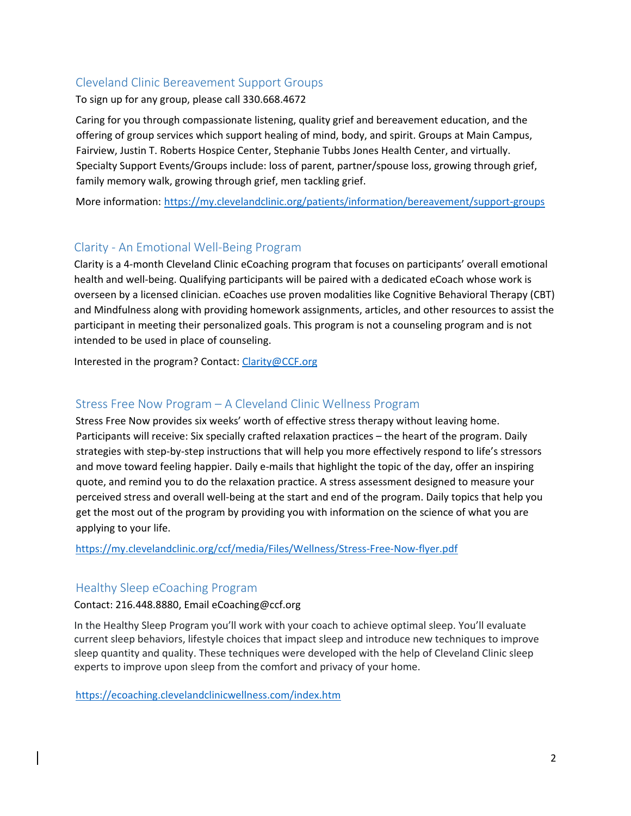# Cleveland Clinic Bereavement Support Groups

To sign up for any group, please call 330.668.4672

Caring for you through compassionate listening, quality grief and bereavement education, and the offering of group services which support healing of mind, body, and spirit. Groups at Main Campus, Fairview, Justin T. Roberts Hospice Center, Stephanie Tubbs Jones Health Center, and virtually. Specialty Support Events/Groups include: loss of parent, partner/spouse loss, growing through grief, family memory walk, growing through grief, men tackling grief.

More information: https://my.clevelandclinic.org/patients/information/bereavement/support-groups

# Clarity ‐ An Emotional Well‐Being Program

Clarity is a 4‐month Cleveland Clinic eCoaching program that focuses on participants' overall emotional health and well‐being. Qualifying participants will be paired with a dedicated eCoach whose work is overseen by a licensed clinician. eCoaches use proven modalities like Cognitive Behavioral Therapy (CBT) and Mindfulness along with providing homework assignments, articles, and other resources to assist the participant in meeting their personalized goals. This program is not a counseling program and is not intended to be used in place of counseling.

Interested in the program? Contact: Clarity@CCF.org

## Stress Free Now Program – A Cleveland Clinic Wellness Program

Stress Free Now provides six weeks' worth of effective stress therapy without leaving home. Participants will receive: Six specially crafted relaxation practices – the heart of the program. Daily strategies with step‐by‐step instructions that will help you more effectively respond to life's stressors and move toward feeling happier. Daily e-mails that highlight the topic of the day, offer an inspiring quote, and remind you to do the relaxation practice. A stress assessment designed to measure your perceived stress and overall well‐being at the start and end of the program. Daily topics that help you get the most out of the program by providing you with information on the science of what you are applying to your life.

https://my.clevelandclinic.org/ccf/media/Files/Wellness/Stress‐Free‐Now‐flyer.pdf

## Healthy Sleep eCoaching Program

#### Contact: 216.448.8880, Email eCoaching@ccf.org

In the Healthy Sleep Program you'll work with your coach to achieve optimal sleep. You'll evaluate current sleep behaviors, lifestyle choices that impact sleep and introduce new techniques to improve sleep quantity and quality. These techniques were developed with the help of Cleveland Clinic sleep experts to improve upon sleep from the comfort and privacy of your home.

https://ecoaching.clevelandclinicwellness.com/index.htm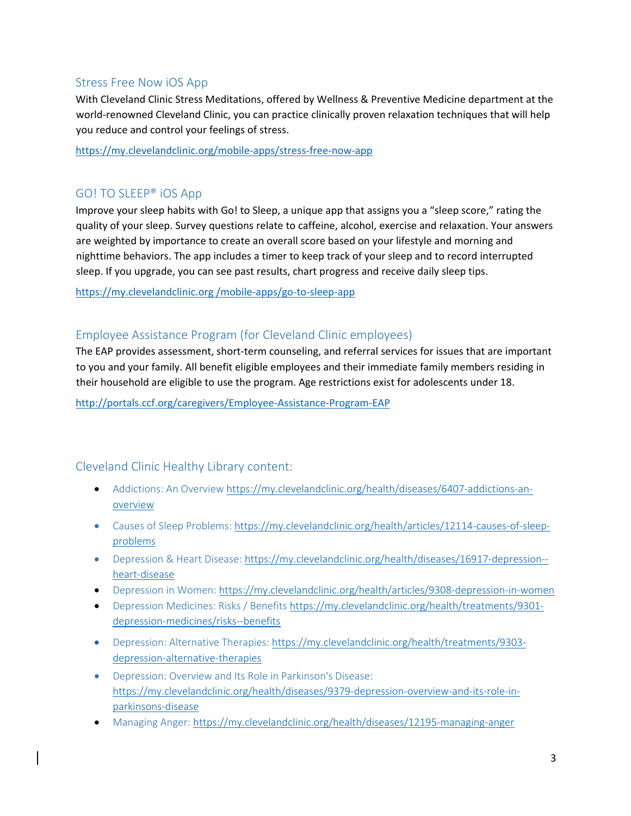## Stress Free Now iOS App

With Cleveland Clinic Stress Meditations, offered by Wellness & Preventive Medicine department at the world-renowned Cleveland Clinic, you can practice clinically proven relaxation techniques that will help you reduce and control your feelings of stress.

https://my.clevelandclinic.org/mobile‐apps/stress‐free‐now‐app

# GO! TO SLEEP® iOS App

Improve your sleep habits with Go! to Sleep, a unique app that assigns you a "sleep score," rating the quality of your sleep. Survey questions relate to caffeine, alcohol, exercise and relaxation. Your answers are weighted by importance to create an overall score based on your lifestyle and morning and nighttime behaviors. The app includes a timer to keep track of your sleep and to record interrupted sleep. If you upgrade, you can see past results, chart progress and receive daily sleep tips.

https://my.clevelandclinic.org /mobile‐apps/go‐to‐sleep‐app

## Employee Assistance Program (for Cleveland Clinic employees)

The EAP provides assessment, short‐term counseling, and referral services for issues that are important to you and your family. All benefit eligible employees and their immediate family members residing in their household are eligible to use the program. Age restrictions exist for adolescents under 18.

http://portals.ccf.org/caregivers/Employee‐Assistance‐Program‐EAP

## Cleveland Clinic Healthy Library content:

- Addictions: An Overview https://my.clevelandclinic.org/health/diseases/6407-addictions-anoverview
- Causes of Sleep Problems: https://my.clevelandclinic.org/health/articles/12114-causes-of-sleepproblems
- Depression & Heart Disease: https://my.clevelandclinic.org/health/diseases/16917-depression-heart‐disease
- Depression in Women: https://my.clevelandclinic.org/health/articles/9308-depression-in-women
- Depression Medicines: Risks / Benefits https://my.clevelandclinic.org/health/treatments/9301depression‐medicines/risks‐‐benefits
- Depression: Alternative Therapies: https://my.clevelandclinic.org/health/treatments/9303depression‐alternative‐therapies
- Depression: Overview and Its Role in Parkinson's Disease: https://my.clevelandclinic.org/health/diseases/9379‐depression‐overview‐and‐its‐role‐in‐ parkinsons‐disease
- Managing Anger: https://my.clevelandclinic.org/health/diseases/12195-managing-anger